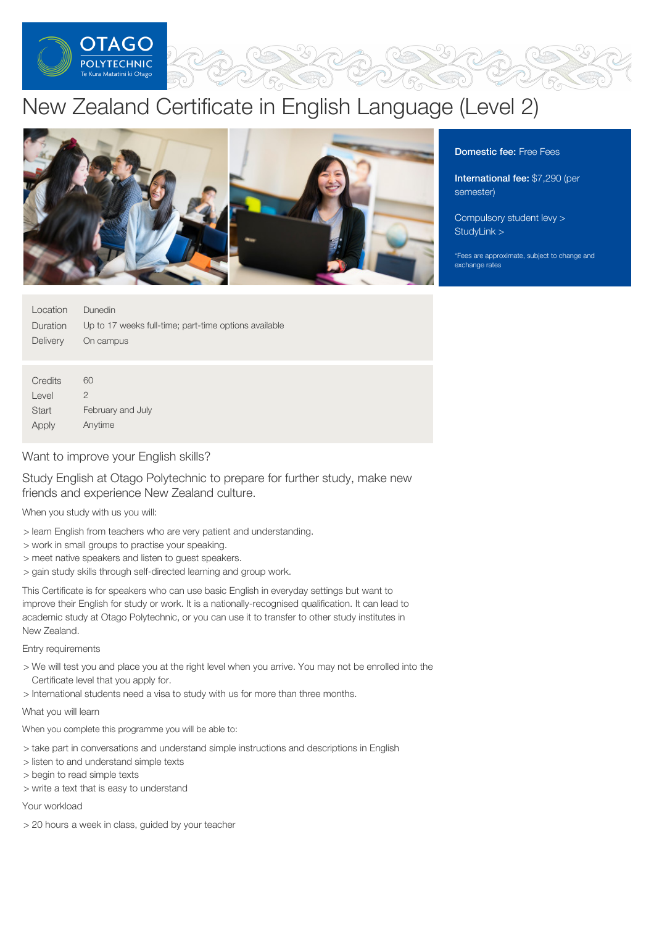

# New Zealand Certificate in English Language (Level 2)



Domestic fee: Free Fees

International fee: \$7,290 (per semester)

[Compulsory](https://online.op.ac.nz/students/important-information/student-services-levy/) student levy > [StudyLink](https://www.studylink.govt.nz/) >

\*Fees are approximate, subject to change and exchange rates

| Location | Dunedin                                               |
|----------|-------------------------------------------------------|
| Duration | Up to 17 weeks full-time; part-time options available |
| Delivery | On campus                                             |
|          |                                                       |
|          |                                                       |
| Credits  | 60                                                    |
| Level    | 2                                                     |
| Start    | February and July                                     |
| Apply    | Anytime                                               |

# Want to improve your English skills?

Study English at Otago Polytechnic to prepare for further study, make new friends and experience New Zealand culture.

# When you study with us you will:

- > learn English from teachers who are very patient and understanding.
- > work in small groups to practise your speaking.
- > meet native speakers and listen to guest speakers.
- > gain study skills through self-directed learning and group work.

This Certificate is for speakers who can use basic English in everyday settings but want to improve their English for study or work. It is a nationally-recognised qualification. It can lead to academic study at Otago Polytechnic, or you can use it to transfer to other study institutes in New Zealand.

Entry requirements

- > We will test you and place you at the right level when you arrive. You may not be enrolled into the Certificate level that you apply for.
- > International students need a visa to study with us for more than three months.

# What you will learn

- When you complete this programme you will be able to:
- > take part in conversations and understand simple instructions and descriptions in English
- > listen to and understand simple texts
- > begin to read simple texts
- > write a text that is easy to understand

Your workload

> 20 hours a week in class, guided by your teacher